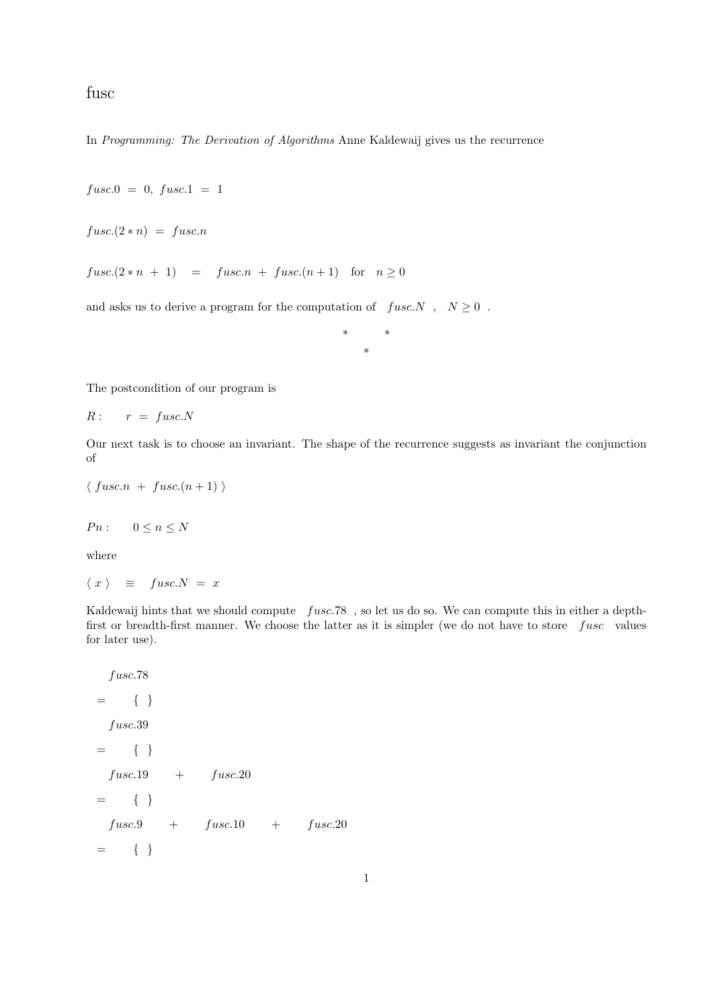fusc

In Programming: The Derivation of Algorithms Anne Kaldewaij gives us the recurrence

 $fusc.0 = 0, fusc.1 = 1$ 

 $fusc.(2*n) = fusc.n$ 

 $fusc.(2*n + 1) = fusc.n + fusc.(n + 1)$  for  $n \ge 0$ 

and asks us to derive a program for the computation of  $fusc.N$ ,  $N \ge 0$ .

\* \* \*

The postcondition of our program is

$$
R: \qquad r \; = \; fusc. N
$$

Our next task is to choose an invariant. The shape of the recurrence suggests as invariant the conjunction of

```
\langle fusc.n + fusc.(n+1))
```

$$
Pn: \qquad 0 \le n \le N
$$

where

$$
\langle x \rangle \equiv \text{fusc.} N = x
$$

Kaldewaij hints that we should compute fusc.78 , so let us do so. We can compute this in either a depthfirst or breadth-first manner. We choose the latter as it is simpler (we do not have to store  $fusc$  values for later use).

fusc.78  $= \{ \}$ fusc.39  $=$  { }  $fusc.19 + fusc.20$  $=$  { }  $fusc.9 + fusc.10 + fusc.20$  $=$  { }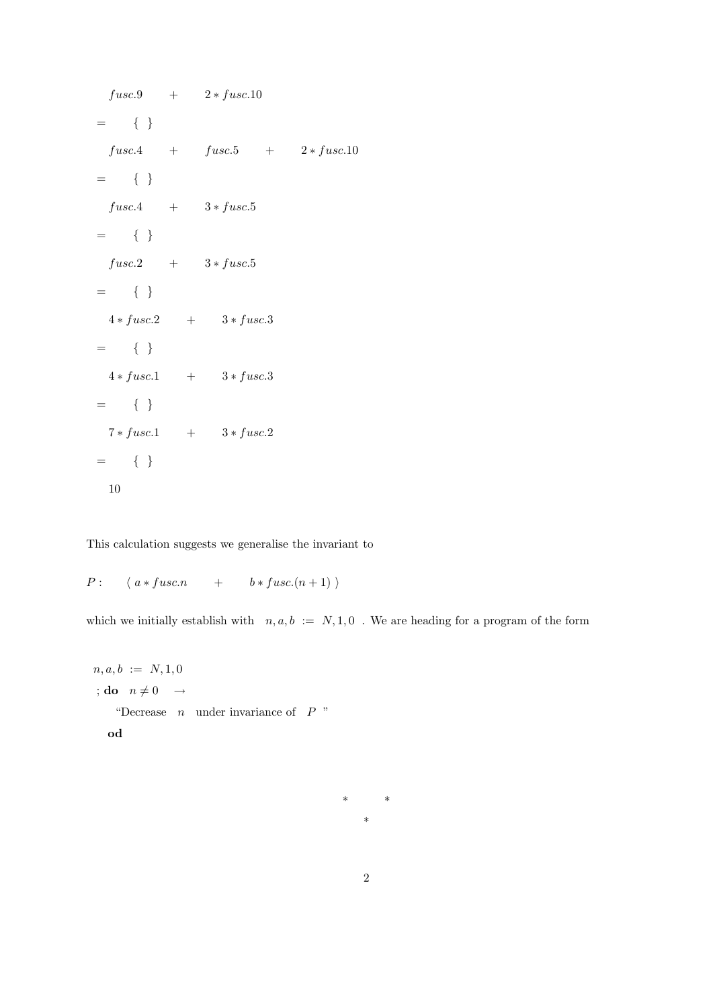$fusc.9 + 2 * fusc.10$  $=$  { }  $fusc.4 + fusc.5 + 2 * fusc.10$  $= \{ \}$  $fusc.4 + 3 * fuse.5$  $=$  { }  $fusc.2 + 3 * fuse.5$  $=$  { }  $4 * fuse.2 + 3 * fuse.3$  $=$  { }  $4 * fuse.1 + 3 * fuse.3$  $=$  { }  $7 * fuse.1 + 3 * fuse.2$ = { } 10

This calculation suggests we generalise the invariant to

 $P: \langle a * fuse. n + b * fuse. (n + 1) \rangle$ 

which we initially establish with  $n, a, b := N, 1, 0$ . We are heading for a program of the form

 $n, a, b := N, 1, 0$ ; do  $n \neq 0 \rightarrow$ "Decrease  $n$  under invariance of  $P$ " od

> \* \* \*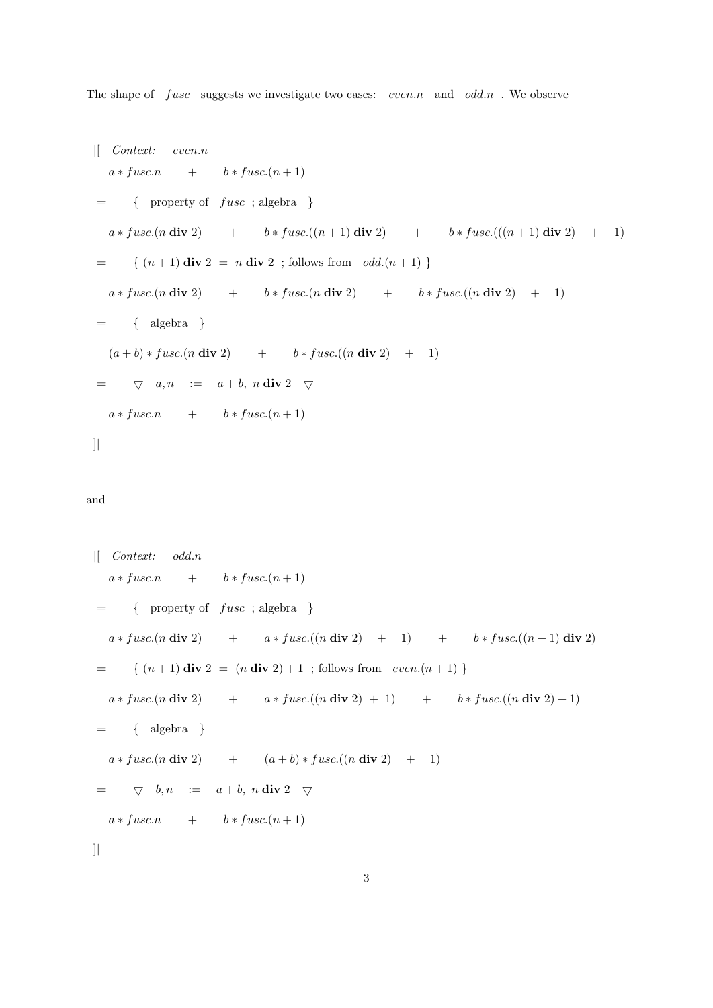The shape of  $fusc$  suggests we investigate two cases:  $even.n$  and  $odd.n$ . We observe

$$
\begin{aligned}\n\left| \begin{array}{ccccccccc}\n \text{Context:} & even.n \\
 a * \text{fuse.n} & + & b * \text{fuse.(n + 1)} \\
 & = & \left\{ \begin{array}{c} \text{property of } \text{fuse} \text{ ; } \text{algebra } \right\} \\
 a * \text{fuse.(n \text{ div } 2) & + & b * \text{fuse.}((n + 1) \text{ div } 2) & + & b * \text{fuse.}(((n + 1) \text{ div } 2) & + & 1) \\
 & = & \left\{ (n + 1) \text{ div } 2 = n \text{ div } 2 \text{ ; } \text{follows from } \text{ odd.}(n + 1) \right\} \\
 & & & * \text{fuse.(n \text{ div } 2) & + & b * \text{fuse.}(n \text{ div } 2) & + & b * \text{fuse.}((n \text{ div } 2) & + & 1) \\
 & = & \left\{ \begin{array}{c} \text{algebra} & \\ \text{de} & b & \text{fuse.}(n \text{ div } 2) & + & b * \text{fuse.}((n \text{ div } 2) & + & 1) \\
 & = & \nabla & a, n & := & a + b, n \text{ div } 2 & \nabla \\
 & & & & * \text{fuse.n} & + & b * \text{fuse.(n + 1)}\n \end{array} \right.\n\end{aligned}
$$

## and

$$
\begin{aligned}\n\left[ \begin{array}{ccccccccc}\n\text{Context:} & odd.n \\
a * f usc.n & + & b * f usc.(n + 1) \\
& = & \left\{ \begin{array}{c} \text{property of } f usc \text{ ; algebra } \right\} \\
a * f usc.(n \text{ div } 2) & + & a * f usc.((n \text{ div } 2) + 1) & + & b * f usc.((n + 1) \text{ div } 2) \\
& = & \left\{ (n + 1) \text{ div } 2 = (n \text{ div } 2) + 1 \text{ ; follows from } even.(n + 1) \right\} \\
a * f usc.(n \text{ div } 2) & + & a * f usc.((n \text{ div } 2) + 1) & + & b * f usc.((n \text{ div } 2) + 1) \\
& = & \left\{ \begin{array}{c} \text{algebra} & \end{array} \right\} \\
a * f usc.(n \text{ div } 2) & + & (a + b) * f usc.((n \text{ div } 2) + 1) \\
& = & \nabla & b, n & := & a + b, n \text{ div } 2 \nabla \\
a * f usc.n & + & b * f usc.(n + 1)\n\end{aligned}
$$